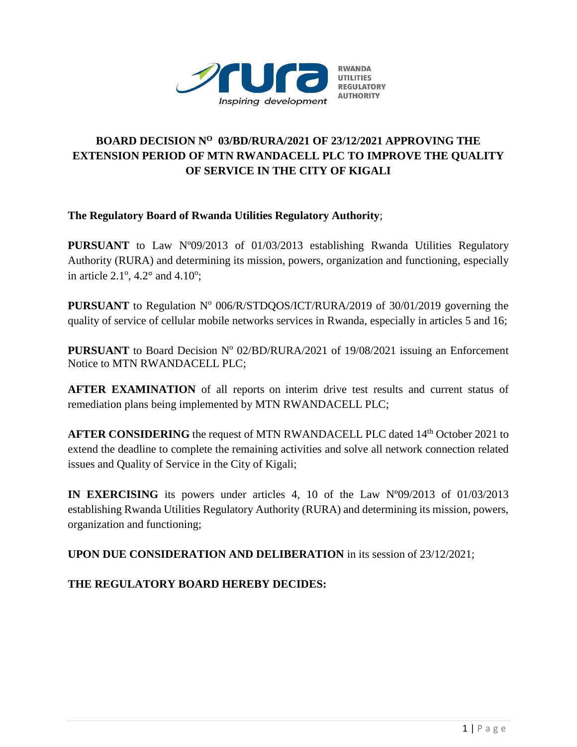

# **BOARD DECISION N<sup>O</sup> 03/BD/RURA/2021 OF 23/12/2021 APPROVING THE EXTENSION PERIOD OF MTN RWANDACELL PLC TO IMPROVE THE QUALITY OF SERVICE IN THE CITY OF KIGALI**

**The Regulatory Board of Rwanda Utilities Regulatory Authority**;

**PURSUANT** to Law N°09/2013 of 01/03/2013 establishing Rwanda Utilities Regulatory Authority (RURA) and determining its mission, powers, organization and functioning, especially in article  $2.1^\circ$ ,  $4.2^\circ$  and  $4.10^\circ$ ;

**PURSUANT** to Regulation N° 006/R/STDQOS/ICT/RURA/2019 of 30/01/2019 governing the quality of service of cellular mobile networks services in Rwanda, especially in articles 5 and 16;

PURSUANT to Board Decision Nº 02/BD/RURA/2021 of 19/08/2021 issuing an Enforcement Notice to MTN RWANDACELL PLC;

**AFTER EXAMINATION** of all reports on interim drive test results and current status of remediation plans being implemented by MTN RWANDACELL PLC;

AFTER CONSIDERING the request of MTN RWANDACELL PLC dated 14<sup>th</sup> October 2021 to extend the deadline to complete the remaining activities and solve all network connection related issues and Quality of Service in the City of Kigali;

**IN EXERCISING** its powers under articles 4, 10 of the Law Nº09/2013 of 01/03/2013 establishing Rwanda Utilities Regulatory Authority (RURA) and determining its mission, powers, organization and functioning;

**UPON DUE CONSIDERATION AND DELIBERATION** in its session of 23/12/2021;

**THE REGULATORY BOARD HEREBY DECIDES:**